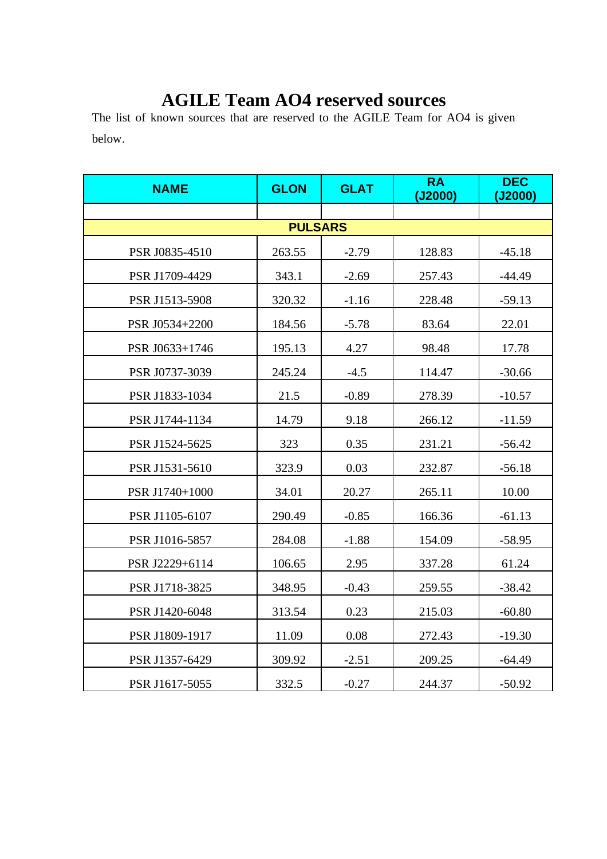## **AGILE Team AO4 reserved sources**

The list of known sources that are reserved to the AGILE Team for AO4 is given below.

| <b>NAME</b>    | <b>GLON</b> | <b>GLAT</b> | <b>RA</b><br>(J2000) | <b>DEC</b><br>(J2000) |  |  |
|----------------|-------------|-------------|----------------------|-----------------------|--|--|
|                |             |             |                      |                       |  |  |
| <b>PULSARS</b> |             |             |                      |                       |  |  |
| PSR J0835-4510 | 263.55      | $-2.79$     | 128.83               | $-45.18$              |  |  |
| PSR J1709-4429 | 343.1       | $-2.69$     | 257.43               | $-44.49$              |  |  |
| PSR J1513-5908 | 320.32      | $-1.16$     | 228.48               | $-59.13$              |  |  |
| PSR J0534+2200 | 184.56      | $-5.78$     | 83.64                | 22.01                 |  |  |
| PSR J0633+1746 | 195.13      | 4.27        | 98.48                | 17.78                 |  |  |
| PSR J0737-3039 | 245.24      | $-4.5$      | 114.47               | $-30.66$              |  |  |
| PSR J1833-1034 | 21.5        | $-0.89$     | 278.39               | $-10.57$              |  |  |
| PSR J1744-1134 | 14.79       | 9.18        | 266.12               | $-11.59$              |  |  |
| PSR J1524-5625 | 323         | 0.35        | 231.21               | $-56.42$              |  |  |
| PSR J1531-5610 | 323.9       | 0.03        | 232.87               | $-56.18$              |  |  |
| PSR J1740+1000 | 34.01       | 20.27       | 265.11               | 10.00                 |  |  |
| PSR J1105-6107 | 290.49      | $-0.85$     | 166.36               | $-61.13$              |  |  |
| PSR J1016-5857 | 284.08      | $-1.88$     | 154.09               | $-58.95$              |  |  |
| PSR J2229+6114 | 106.65      | 2.95        | 337.28               | 61.24                 |  |  |
| PSR J1718-3825 | 348.95      | $-0.43$     | 259.55               | $-38.42$              |  |  |
| PSR J1420-6048 | 313.54      | 0.23        | 215.03               | $-60.80$              |  |  |
| PSR J1809-1917 | 11.09       | 0.08        | 272.43               | $-19.30$              |  |  |
| PSR J1357-6429 | 309.92      | $-2.51$     | 209.25               | $-64.49$              |  |  |
| PSR J1617-5055 | 332.5       | $-0.27$     | 244.37               | $-50.92$              |  |  |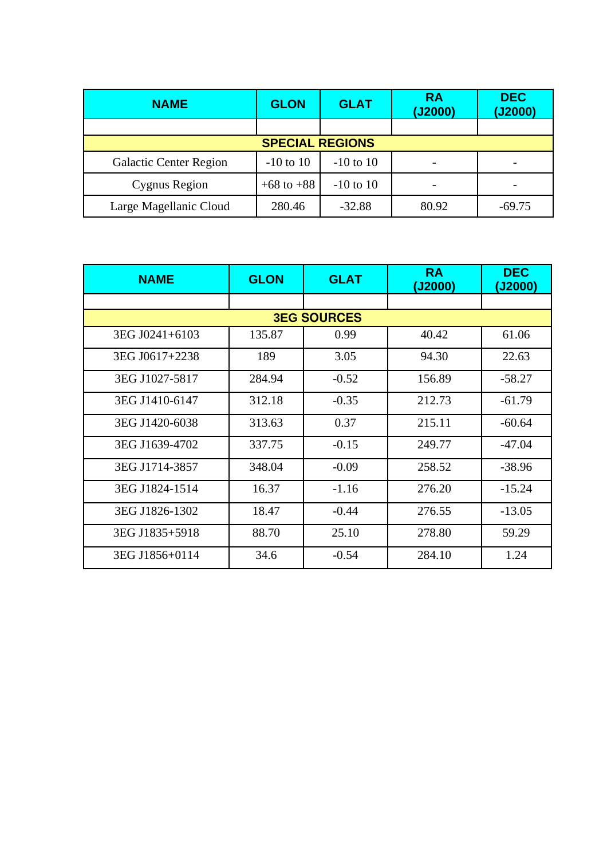| <b>NAME</b>                   | <b>GLON</b>    | <b>GLAT</b>   | <b>RA</b><br>(J2000) | <b>DEC</b><br>(J2000) |  |
|-------------------------------|----------------|---------------|----------------------|-----------------------|--|
|                               |                |               |                      |                       |  |
| <b>SPECIAL REGIONS</b>        |                |               |                      |                       |  |
| <b>Galactic Center Region</b> | $-10$ to $10$  | $-10$ to $10$ |                      |                       |  |
| Cygnus Region                 | $+68$ to $+88$ | $-10$ to $10$ |                      |                       |  |
| Large Magellanic Cloud        | 280.46         | $-32.88$      | 80.92                | $-69.75$              |  |

| <b>NAME</b>        | <b>GLON</b> | <b>GLAT</b> | <b>RA</b><br>(J2000) | <b>DEC</b><br>(J2000) |  |  |
|--------------------|-------------|-------------|----------------------|-----------------------|--|--|
|                    |             |             |                      |                       |  |  |
| <b>3EG SOURCES</b> |             |             |                      |                       |  |  |
| 3EG J0241+6103     | 135.87      | 0.99        | 40.42                | 61.06                 |  |  |
| 3EG J0617+2238     | 189         | 3.05        | 94.30                | 22.63                 |  |  |
| 3EG J1027-5817     | 284.94      | $-0.52$     | 156.89               | -58.27                |  |  |
| 3EG J1410-6147     | 312.18      | $-0.35$     | 212.73               | $-61.79$              |  |  |
| 3EG J1420-6038     | 313.63      | 0.37        | 215.11               | $-60.64$              |  |  |
| 3EG J1639-4702     | 337.75      | $-0.15$     | 249.77               | $-47.04$              |  |  |
| 3EG J1714-3857     | 348.04      | $-0.09$     | 258.52               | $-38.96$              |  |  |
| 3EG J1824-1514     | 16.37       | $-1.16$     | 276.20               | $-15.24$              |  |  |
| 3EG J1826-1302     | 18.47       | $-0.44$     | 276.55               | $-13.05$              |  |  |
| 3EG J1835+5918     | 88.70       | 25.10       | 278.80               | 59.29                 |  |  |
| 3EG J1856+0114     | 34.6        | $-0.54$     | 284.10               | 1.24                  |  |  |